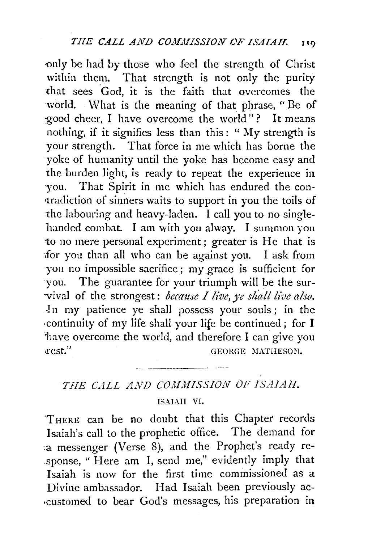only be had by those who feel the strength of Christ within them. That strength is not only the purity that sees God, it is the faith that overcomes the world. What is the meaning of that phrase, "Be of :good cheer, I have overcome the world"? It means nothing, if it signifies less than this : " My strength is your strength. That force in me which has borne the yoke of humanity until the yoke has become easy and the burden light, is ready to repeat the experience in you. That Spirit in me which has endured the con- •tradiction of sinners waits to support in you the toils of the labouring and heavy-laden. I call you to no singlehanded combat. I am with you alway. I summon you •to no mere personal experiment; greater is He that is ifor you than all who can be against you. I ask from you no impossible sacrifice; my grace is sufficient for you. The guarantee for your triumph will be the sur vival of the strongest: *because I live*, ye shall live also. -In my patience ye shall possess your souls ; in the ·continuity of my life shall your life be continued ; for I 'have overcome the world, and therefore I can give you Figurest." GEORGE MATHESON.

## THE CALL AND COMMISSION OF ISAIAH.

## ISAIAH VI.

THERE can be no doubt that this Chapter records Isaiah's call to the prophetic office. The demand for :a messenger (Verse 8), and the Prophet's ready response, " Here am I, send me," evidently imply that Isaiah is now for the first time commissioned as a Divine ambassador. Had Isaiah been previously ac- .-customed to bear God's messages, his preparation in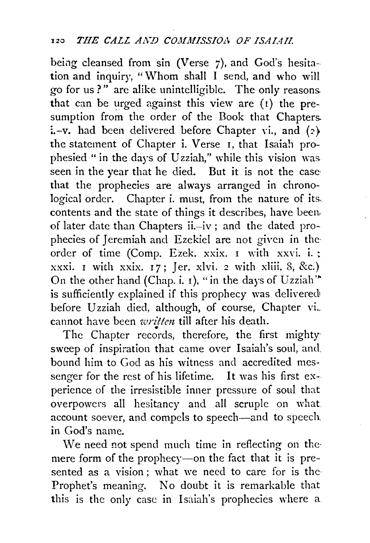being cleansed from sin (Verse 7). and God's hesitation and inquiry, "Whom shall I send, and who will go for us?" are alike unintelligible. The only reasons. that can be urged against this view are  $(1)$  the presumption from the order of the Dook that Chapters.  $i.-v.$  had been delivered before Chapter vi., and (2) the statement of Chapter i. Verse I, that Isaiah prophesied " in the days of Uzziah," while this vision was seen in the year that he died. But it is not the case· that the prophecies are always arranged in chronological order. Chapter i. must, from the nature of its. contents and the state of things it describes, have been. of later date than Chapters ii.-iv; and the dated prophecies of Jeremiah and Ezekiel are not given in the· order of time (Comp. Ezek. xxix. I with xxvi. i.; xxxi. I with xxix.  $17$ ; Jer. xlvi. 2 with xliii. 8, &c.) On the other hand (Chap. i.  $I$ ), "in the days of Uzziah" is sufficiently explained if this prophecy was delivered before Uzziah died, although, of course, Chapter vi. cannot have been *written* till after his death.<br>The Chapter records, therefore, the first mighty

sweep of inspiration that came over Isaiah's soul, and bound him to God as his witness and accredited messenger for the rest of his lifetime. It was his first experience of the irresistible inner pressure of soul that overpowers all hesitancy and all scruple on what account soever, and compels to speech-and to speech in God's name.

We need not spend much time in reflecting on the mere form of the prophecy-on the fact that it is presented as a vision ; what we need to care for is the Prophet's meaning. No doubt it is remarkable that this is the only case in Isaiah's prophecies where a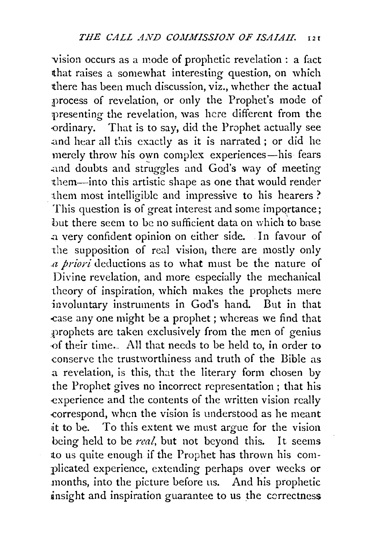vision occurs as a mode of prophetic revelation : a fact that raises a somewhat interesting question, on which there has been much discussion, viz., whether the actual ;process of revelation, or only the Prophet's mode of presenting the revelation, was here different from the ordinary. That is to say, did the Prophet actually see and hear all this exactly as it is narrated; or did he merely throw his own complex experiences-his fears and doubts and struggles and God's way of meeting them-into this artistic shape as one that would render them most intelligible and impressive to his hearers ? This question is of great interest and some importance; but there seem to be no sufficient data on which to base .a very confident opinion on either side. In favour of the supposition of real vision, there are mostly only *.a priori* deductions as to what must be the nature of Divine revelation, and more especially the mechanical theory of inspiration, which makes the prophets mere involuntary instruments in God's hand. But in that -case any one might be a prophet; whereas we find that prophets arc taken exclusively from the men of genius .of their time... All that needs to be held to, in order to conserve the trustworthiness and truth of the Bible as a revelation, is this, that the literary form chosen by the Prophet gives no incorrect representation ; that his experience and the contents of the written vision really .correspond, when the vision is understood as he meant it to be. To this extent we must argue for the vision being held to be *real,* but not beyond this. It seems to us quite enough if the Prophet has thrown his complicated experience, extending perhaps over weeks or months, into the picture before us. And his prophetic insight and inspiration guarantee to us the correctness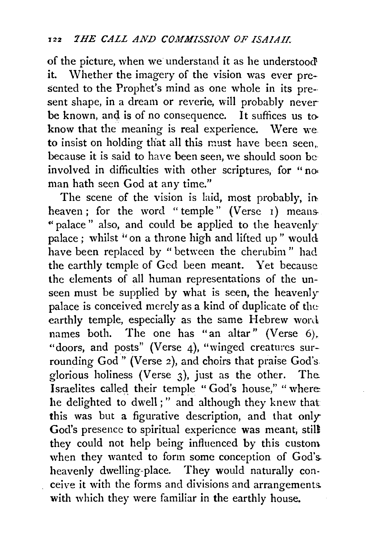of the picture, when we understand it as he understood it. Whether the imagery of the vision was ever presented to the Prophet's mind as one whole in its pre-sent shape, in a dream or reverie, will probably never be known, and is of no consequence. It suffices us toknow that the meaning is real experience. Were we to insist on holding that all this must have been seen, because it is said to have been seen, we should soon beinvolved in difficulties with other scriptures, for "noman hath seen God at any time."

The scene of the vision is laid, most probably, in. heaven; for the word " temple" (Verse 1) means-" palace" also, and could be applied to the heavenly palace; whilst "on a throne high and lifted up" would have been replaced by " between the cherubim " had the earthly temple of God been meant. Yet because the elements of all human representations of the unseen must be supplied by what is seen, the heavenly palace is conceived merely as a kind of duplicate of the: earthly temple, especially as the same Hebrew word. names both. The one has "an altar" (Verse 6). "doors, and posts" (Verse 4), "winged creatures surrounding God" (Verse 2), and choirs that praise God's glorious holiness (Verse 3), just as the other. The. Israelites called their temple "God's house," "where: he delighted to dwell;" and although they knew that this was but a figurative description, and that only-God's presence to spiritual experience was meant; still they could not help being influenced by this custom when they wanted to form some conception of God's. heavenly dwelling-place. They would naturally conceive it with the forms and divisions and arrangements. with which they were familiar in the earthly house.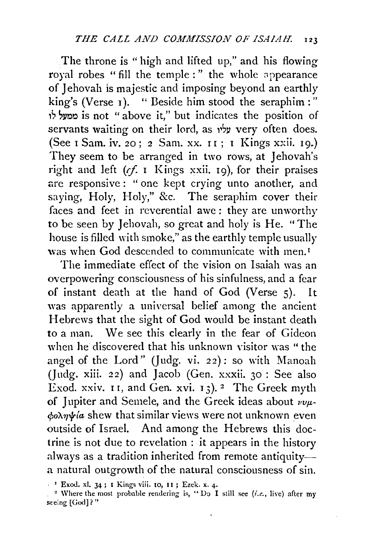The throne is "high and lifted up," and his flowing royal robes "fill the temple:" the whole appearance of Jehovah is majestic and imposing beyond an earthly king's (Verse 1). " Beside him stood the seraphim :" is not "above it," but indicates the position of servants waiting on their lord, as עליו very often does. (See I Sam. iv. 20; 2 Sam. xx.  $11$ ; I Kings xxii. 19.) They seem to be arranged in two rows, at Jehovah's right and left (cf. I Kings xxii. 19), for their praises are responsive: "one kept crying unto another, and saying, Holy, Holy," &c. The seraphim cover their faces and feet in reverential awe : they are umvorthy to be seen by Jehovah, so great and holy is He. "The house is filled with smoke," as the earthly temple usually was when God descended to communicate with men.<sup>1</sup>

The immediate effect of the vision on Isaiah was an overpowering consciousness of his sinfulness, and a fear of instant death at the hand of God (Verse 5). It was apparently a universal belief among the ancient Hebrews that the sight of God would be instant death to a man. We see this clearly in the fear of Gideon when he discovered that his unknown visitor was "the angel of the Lord" (Judg. vi. 22): so with Manoah (Judg. xiii. 22) and Jacob (Gen. xxxii. 30 : See also Exod. xxiv.  $I1$ , and Gen. xvi.  $I3$ ). <sup>2</sup> The Greek myth of Jupiter and Semele, and the Greek ideas about  $\nu\nu\mu$ *cpo"A1J"frla* shew that similar views were not unknown even outside of Israel. And among the Hebrews this doctrine is not due to revelation : it appears in the history always as a tradition inherited from remote antiquitya natural outgrowth of the natural consciousness of sin.

<sup>&#</sup>x27; Exod. xl. 34 ; I Kings Yiii. 10, I 1 ; Ezek. x. 4·

<sup>&</sup>lt;sup>2</sup> Where the most probable rendering is, "Do I still see *(i.e.*, live) after my seeing [God]?"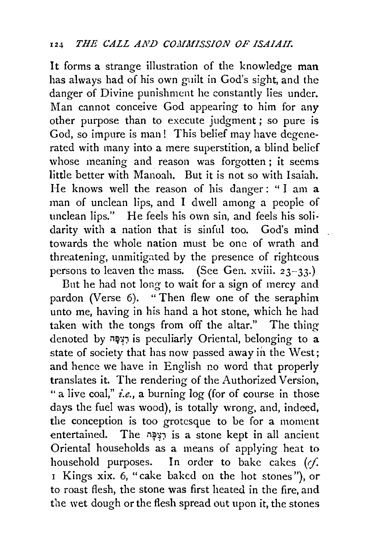It forms a strange illustration of the knowledge man has always had of his own guilt in God's sight, and the danger of Divine punishment he constantly lies under. Man cannot conceive God appearing to him for any other purpose than to execute judgment ; so pure is God, so impure is man! This belief may have degenerated with many into a mere superstition, a blind belief whose meaning and reason was forgotten; it seems little better with Manoah. But it is not so with Isaiah. He knows well the reason of his danger: "I am a man of unclean lips, and I dwell among a people of unclean lips." He feels his own sin, and feels his solidarity with a nation that is sinful too. God's mind towards the whole nation must be one of wrath and threatening, unmitigated by the presence of righteous persons to leaven the mass. (See Gen. xviii.  $23-33$ .)

But he had not long to wait for a sign of mercy and pardon (Verse 6). " Then flew one of the seraphim unto me, having in his hand a hot stone, which he had taken with the tongs from off the altar." The thing denoted by יוֹצְפָּה is peculiarly Oriental, belonging to a state of society that has now passed away in the West; and hence we have in English no word that properly translates it. The rendering of the Authorized Version, " a live coal," *i.e.*, a burning log (for of course in those days the fuel was wood), is totally wrong, and, indeed, the conception is too grotesque to be for a moment entertained. The יְצִפָּה is a stone kept in all ancient Oriental households as a means of applying heat to household purposes. In order to bake cakes  $(rf)$ . <sup>1</sup>Kings xix. 6, "cake baked on the hot stones"), or to roast flesh, the stone was first heated in the fire, and the wet dough or the flesh spread out upon it, the stones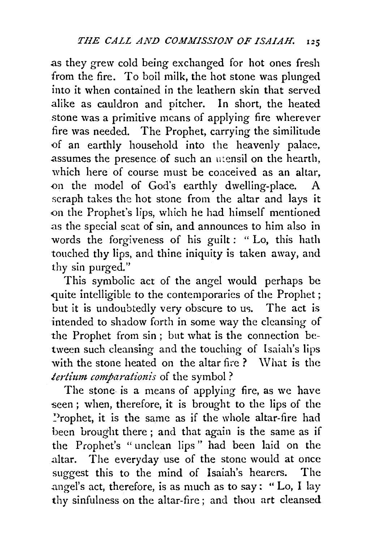as they grew cold being exchanged for hot ones fresh from the fire. To boil milk, the hot stone was plunged into it when contained in the leathern skin that served alike as cauldron and pitcher. In short, the heated stone was a primitive means of applying fire wherever fire was needed. The Prophet, carrying the similitude of an earthly household into the heavenly palace, assumes the presence of such an utensil on the hearth, which here of course must be coaceived as an altar, on the model of God's earthly dwelling-place. seraph takes the hot stone from the altar and lays it on the Prophet's lips, which he had himself mentioned .as the special scat of sin, and announces to him also in words the forgiveness of his guilt : " Lo, this hath touched thy lips, and thine iniquity is taken away, and thy sin purged."

This symbolic act of the angel would perhaps be quite intelligible to the contemporaries of the Prophet; but it is undoubtedly very obscure to us. The act is intended to shadow forth in some way the cleansing of the Prophet from sin ; but what is the connection between such cleansing and the touching of Isaiah's lips with the stone heated on the altar fire ? What is the *tertium comparalionis* of the symbol ?

The stone is a means of applying fire, as we have seen ; when, therefore, it is brought to the lips of the ~)rophet, it is the same as if the whole altar-fire had been brought there ; and that again is the same as if the Prophet's "unclean lips" had been laid on the .altar. The everyday use of the stone would at once suggest this to the mind of Isaiah's hearers. The angel's act, therefore, is as much as to say: "Lo, I lay thy sinfulness on the altar-fire; and thou art cleansed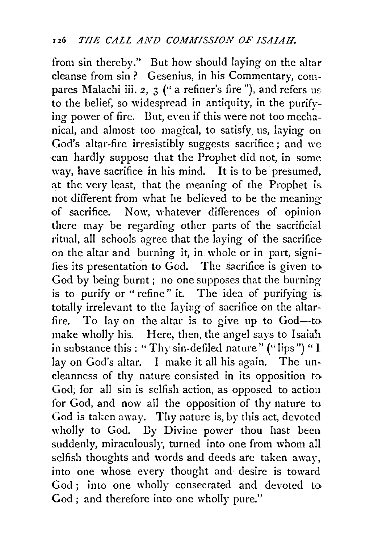from sin thereby.'' But how should laying on the altar cleanse from sin ? Gesenius, in his Commentary, compares Malachi iii. 2, 3 (" a refiner's fire "), and refers us to the belief, so widespread in antiquity, in the purifying power of fire. But, even if this were not too mechanical, and almost too magical, to satisfy. us, laying on God's altar-fire irresistibly suggests sacrifice ; and we can hardly suppose that the Prophet did not, in some way, have sacrifice in his mind. It is to be presumed. at the very least, that the meaning of the Prophet is. not different from what he believed to be the meaning -of sacrifice. Now, whatever differences of opinion. there may be regarding other parts of the sacrificial ritual, all schools agree that the laying of the sacrifice on the altar and burning it, in whole or in part, signifies its presentation to God. The sacrifice is given to God by being burnt ; no one supposes that the burning is to purify or " refine" it. The idea of purifying is. totally irrelevant to the laying of sacrifice on the altarfire. To lay on the altar is to give up to God-to make wholly his. Here, then, the angel says to Isaiah in substance this : "Thy sin-defiled nature" ("lips") " I lay on God's altar. I make it all his again. The uncleanness of thy nature consisted in its opposition to God; for all sin is selfish action, as opposed to action for God, and now all the opposition of thy nature to God is taken away. Thy nature is, by this act, devoted wholly to God. Dy Divine power thou hast been suddenly, miraculously, turned into one from whom all selfish thoughts and words and deeds arc taken away, into one whose every thought and desire is toward God; into one wholly consecrated and devoted to God ; and therefore into one wholly pure."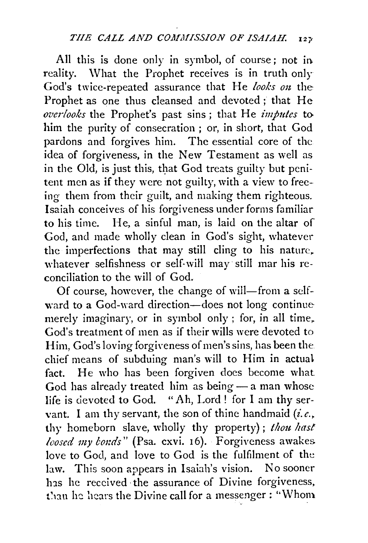All this is done only in symbol, of course; not in. reality. What the Prophet receives is in truth only God's twice-repeated assurance that He looks on the Prophet as one thus cleansed and devoted; that He *overlooks* the Prophet's past sins; that He *imputes* to him the purity of consecration ; or, in short, that God pardons and forgives him. The essential core of the idea of forgiveness, in the New Testament as well as in the Old, is just this, that God treats guilty but penitent men as if they were not guilty, with a view to freeing them from their guilt, and making them righteous. Isaiah conceives of his forgiveness under forms familiar to his time. He, a sinful man, is laid on the altar of God, and made wholly clean in God's sight, whatever the imperfections that may still cling to his nature. whatever selfishness or self-will may still mar his reconciliation to the will of God.

Of course, however, the change of will-from a selfward to a God-ward direction-does not long continue merely imaginary, or in symbol only; for, in all time, God's treatment of men as if their wills were devoted to Him, God's loving forgiveness of men's sins, has been the chief means of subduing man's will to Him in actual fact. He who has been forgiven does become what God has already treated him as being - a man whose life is devoted to God. "Ah, Lord ! for I am thy servant. I am thy servant, the son of thine handmaid  $(i.e.,$ thy homeborn slave, wholly thy property); *thou hast loosed my bonds*" (Psa. cxvi. 16). Forgiveness awakes. love to God, and love to God is the fulfilment of the law. This soon appears in Isaiah's vision. No sooner has he received the assurance of Divine forgiveness, than he hears the Divine call for a messenger: "Whom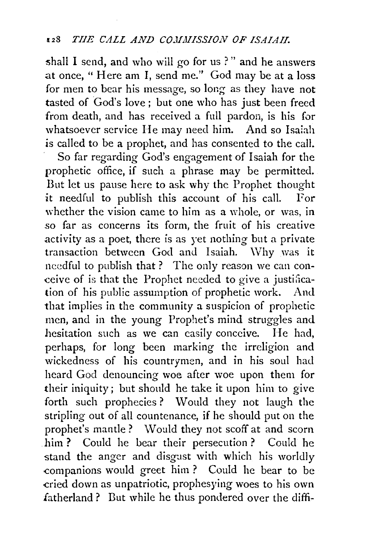shall I send, and who will go for us ?" and he answers at once, "Here am I, send me." God may be at a loss for men to bear his message, so long as they have not tasted of God's love; but one who has just been freed from death, and has received a full pardon, is his for whatsoever service He may need him. And so Isaiah is called to be a prophet, and has consented to the call.

So far regarding God's engagement of Isaiah for the prophetic office, if such a phrase may be permitted. But let us pause here to ask why the Prophet thought it needful to publish this account of his call. For whether the vision came to him as a whole, or was, in so far as concerns its form, the fruit of his creative activity as a poet, there is as yet nothing but a private transaction between God and Isaiah. Why was it needful to publish that ? The only reason we can conceive of is that the Prophet needed to give a justification of his public assumption of prophetic work. And that implies in the community a suspicion of prophetic men, and in the young Prophet's mind struggles and hesitation such as we can easily conceive. He had, perhaps, for long been marking the irreligion and wickedness of his countrymen, and in his soul had heard God denouncing woe after woe upon them for their iniquity; but should he take it upon him to give forth such prophecies? Would they not laugh the stripling out of all countenance, if he should put on the prophet's mantle? Would they not scoff at and scorn him ? Could he bear their persecution ? Could he stand the anger and disgust with which his worldly .companions would greet him ? Could he bear to be cried down as unpatriotic, prophesying woes to his own fatherland? But while he thus pondered over the diffi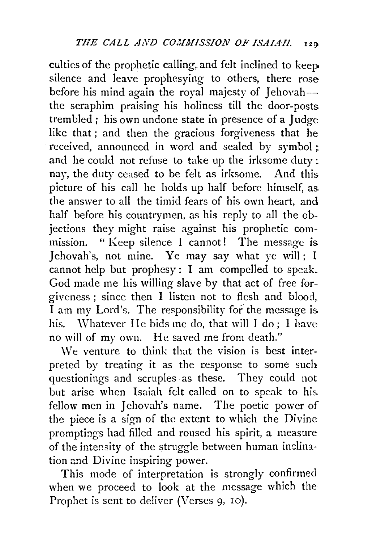culties of the prophetic calling, and felt inclined to keep silence and leave prophesying to others, there rose before his mind again the royal majesty of Jehovah-- the seraphim praising his holiness till the door-posts trembled; his own undone state in presence of a Judge like that ; and then the gracious forgiveness that he received, announced in word and sealed by symbol ; and he could not refuse to take up the irksome duty : nay, the duty ceased to be felt as irksome. And this picture of his call he holds up half before himself, as. the answer to all the timid fears of his own heart, and half before his countrymen, as his reply to all the objections they might raise against his prophetic commission. " Keep silence I cannot! The message is Jehovah's, not mine. Ye may say what ye will; I cannot help but prophesy : I am compelled to speak. God made me his willing slave by that act of free forgiveness ; since then I listen not to flesh and blood, I am my Lord's. The responsibility for the message is. his. \Vhatever He bids me do, that will I do; I have no will of my own. He saved me from death."

We venture to think that the vision is best interpreted by treating it as the response to some such questionings and scruples as these. They could not but arise when Isaiah felt called on to speak to his. fellow men in Jehovah's name. The poetic power of the piece is a sign of the extent to which the Divine promptings had filled and roused his spirit, a measure of the intensity of the struggle between human inclination and Divine inspiring power.

This mode of interpretation is strongly confirmed when we proceed to look at the message which the Prophet is sent to deliver (Verses 9, 10).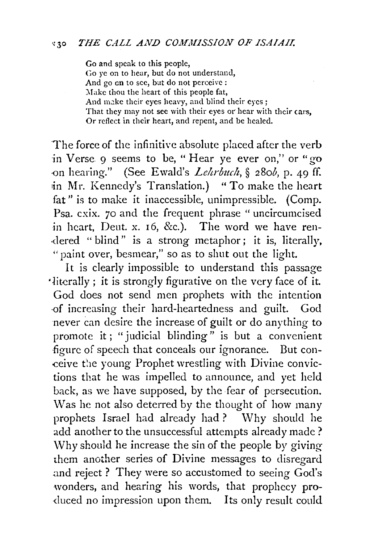Go and speak to this people, Go ye on to hear, but do not understand, And go en to sec, but do not perceive: Make thou the heart of this people fat, And make their eyes heavy, and blind their eyes ; That they may not see with their eyes or hear with their cars, Or reflect in their heart, and repent, and be healed.

The force of the infinitive absolute placed after the verb in Verse 9 seems to be, "Hear ye ever on," or "go .-on hearing." (See Ewald's *Leltrbuch,* § 28ob, p. 49 ff. in Mr. Kennedy's Translation.) "To make the heart fat" is to make it inaccessible, unimpressible. (Comp. Psa. cxix. *70* and the frequent phrase "uncircumcised in heart, Deut. x. 16, &c.). The word we have ren- ·dered "blind" is a strong metaphor; it is, literally, " paint over, besmear," so as to shut out the light.

It is clearly impossible to understand this passage •literally; it is strongly figurative on the very face of it. God does not send men prophets with the intention -of increasing their hard-heartedness and guilt. God never can desire the increase of guilt or do anything to promote it; "judicial blinding" is but a convenient figure of speech that conceals our ignorance. But conceive the young Prophet wrestling with Divine convictions that he was impelled to announce, and yet held back, as we have supposed, by the fear of persecution. Was he not also deterred by the thought of how many prophets Israel had already had? Why should he add another to the unsuccessful attempts already made? \Vhy should he increase the sin of the people by giving them another series of Divine messages to disregard and reject? They were so accustomed to seeing God's wonders, and hearing his words, that prophecy pro- ·duced no impression upon them. Its only result could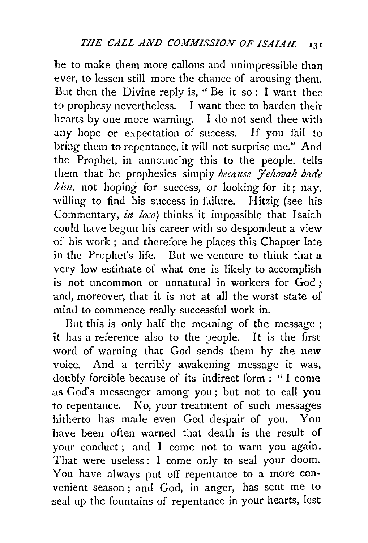be to make them more callous and unimpressible than ever, to lessen still more the chance of arousing them. But then the Divine reply is, " Be it so : I want thee to prophesy nevertheless. I want thee to harden their hearts by one more warning. I do not send thee with any hope or expectation of success. If you fail to bring them to repentance, it will not surprise *me."* And the Prophet, in announcing this to the people, tells them that he prophesies simply *because Fehovah bade him,* not hoping for success, or looking for it; nay, willing to find his success in failure. Hitzig (see his Commentary, *in loco*) thinks it impossible that Isaiah could have begun his career with so despondent a view of his work ; and therefore he places this Chapter late in the Prophet's life. But we venture to thihk that a very low estimate of what one is likely to accomplish is not uncommon or unnatural in workers for God ; and, moreover, that it is not at all the worst state of mind to commence really successful work in.

But this is only half the meaning of the message ; it has a reference also to the people. It is the first word of warning that God sends them by the new voice. And a terribly awakening message it was, doubly forcible because of its indirect form : " I come .as God's messenger among you ; but not to call you to repentance. No, your treatment of such messages hitherto has made even God despair of you. You have been often warned that death is the result of your conduct ; and I come not to warn you again. That were useless : I come only to seal your doom. You have always put off repentance to a more convenient season ; and God, in anger, has sent me to seal up the fountains of repentance in your hearts, lest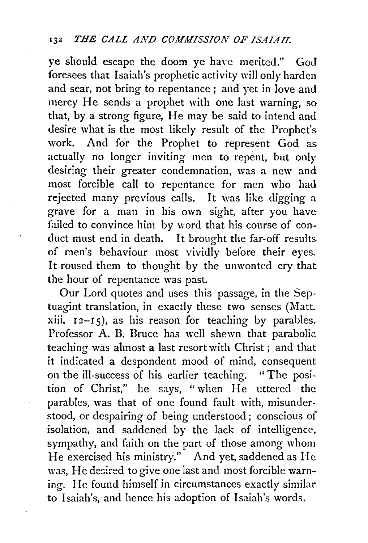ye should escape the doom ye have merited." God foresees that Isaiah's prophetic activity will only harden and sear, not bring to repentance ; and yet in love and mercy He sends a prophet with one last warning, so that, by a strong figure, He may be said to intend and desire what is the most likely result of the Prophet's work. And for the Prophet to represent God as actually no longer inviting men to repent, but only desiring their greater condemnation, was a new and most forcible call to repentance for men who had rejected many previous calls. It was like digging a grave for a man in his own sight, after you have failed to convince him by word that his course of conduct must end in death. It brought the far-off results of men's behaviour most vividly before their eyes. It roused them to thought by the unwonted cry that the hour of repentance was past.

Our Lord quotes and uses this passage, in the Septuagint translation, in exactly these two senses (Matt. xiii.  $12-15$ , as his reason for teaching by parables. Professor A. B. Bruce has well shewn that parabolic teaching was almost a last resort with Christ ; and that it indicated a despondent mood of mind, consequent on the ill-success of his earlier teaching. "The position of Christ," he says, "when He uttered the parables, was that of one found fault with, misunderstood, or despairing of being understood ; conscious of isolation, and saddened by the lack of intelligence, sympathy, and faith on the part of those among whom He exercised his ministry." And yet, saddened as He was, He desired to give one last and most forcible warning. He found himself in circumstances exactly similar to Isaiah's, and hence his adoption of Isaiah's words.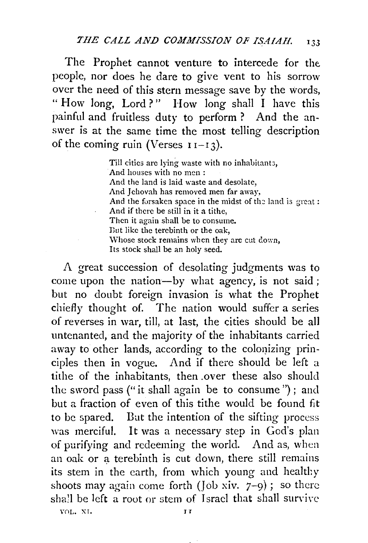The Prophet cannot venture to intercede for the people, nor does he dare to give vent to his sorrow over the need of this stern message save by the words, " How 1ong, Lord?" How long shall I have this painful and fruitless duty to perform ? And the answer is at the same time the most telling description of the coming ruin (Verses  $11-13$ ).

> Till cities are lying waste with no inhabitants, And houses with no men : And the land is laid waste and desolate, And Jehovah has removed men far away, And the forsaken space in the midst of the land is great: And if there be still in it a tithe, Then it again shall be to consume. Dut like the terebinth or the oak, Whose stock remains when they are cut down, Its stock shall be an holy seed.

A great succession of desolating judgments was to come upon the nation-by what agency, is not said ; but no doubt foreign invasion is what the Prophet chiefly thought of. The nation would suffer a series of reverses in war, till, at last, the cities should be all untenanted, and the majority of the inhabitants carried away to other lands, according to the colonizing principles then in vogue. And if there should be left a tithe of the inhabitants, then .over these also should the sword pass ("it shall again be to consume ") ; and but a fraction of even of this tithe would be found fit to be spared. Dut the intention of the sifting process was merciful. It was a necessary step in God's plan of purifying and redeeming the world. And as, when an oak or a terebinth is cut down, there still remains its stem in the earth, from which young and healthy shoots may again come forth ( $\int$ ob xiv.  $7-9$ ); so there shall be left a root or stem of Israel that shall survive VOL. XI. JIT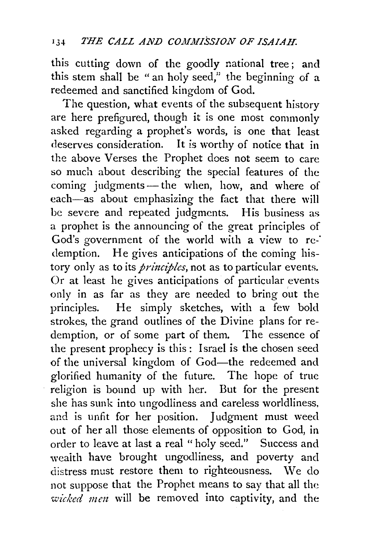this cutting down of the goodly national tree; and this stem shall be "an holy seed," the beginning of a redeemed and sanctified kingdom of God.

The question, what events of the subsequent history are here prefigured, though it is one most commonly asked regarding a prophet's words, is one that least deserves consideration. It *is* worthy of notice that in the above Verses the Prophet does not seem to care so much about describing the special features of the coming judgments-the when, how, and where of each-as about emphasizing the fact that there will be severe and repeated judgments. His business as a prophet is the announcing of the great principles of God's government of the world with a view to redemption. He gives anticipations of the coming history only as to its *principles*, not as to particular events. Or at least he gives anticipations of particular events only in as far as they are needed to bring out the principles. He simply sketches, with a few bold strokes, the grand outlines of the Divine plans for redemption, or of some part of them. The essence of the present prophecy is this : Israel is the chosen seed of the universal kingdom of God-the redeemed and glorified humanity of the future. The hope of true religion is bound up with her. But for the present she has sunk into ungodliness and careless worldliness, and is unfit for her position. Judgment must weed out of her all those elements of opposition to God, in order to leave at last a real "holy seed." Success and weaith have brought ungodliness, and poverty and distress must restore them to righteousness. We do not suppose that the Prophet means to say that all the *wicked men* will be removed into captivity, and the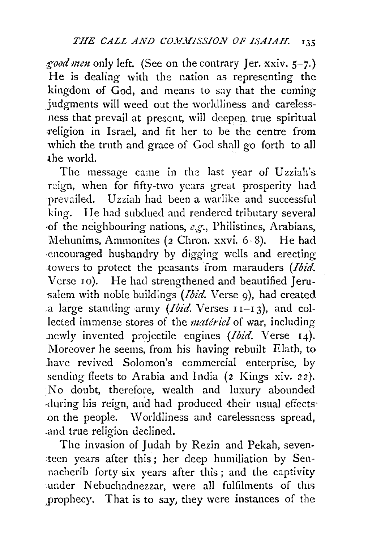*good men* only left. (See on the contrary Jer. xxiv. 5-7.) He is dealing with the nation as representing the kingdom of God, and means to say that the coming judgments will weed out the worldliness and carelessness that prevail at present, will deepen true spiritual religion in Israel, and fit her to be the centre from which the truth and grace of God shall go forth to all the world.

The message came in the last year of Uzziah's reign, when for fifty-two years great prosperity had prevailed. Uzziah had been a warlike and successful king. He had subdued and rendered tributary several of the neighbouring nations,  $e.g.,$  Philistines, Arabians, Mehunims, Ammonites (2 Chron. xxvi. 6-8). He had encouraged husbandry by digging wells and erecting .towers to protect the peasants irom marauders *(Ibid.*  Verse 10). He had strengthened and beautified Jeru- .salem with noble buildings *(Ibid.* Verse 9), had created .a large standing army *(Ibid.* Verses 11-1 3), and collected immense stores of the *matiriel* of war, including newly invented projectile engines *(Ibid. Verse 14)*. Moreover he seems, from his having rebuilt Elath, to have revived Solomon's commercial enterprise, by sending fleets to Arabia and India (2 Kings xiv. 22). No doubt, therefore, wealth and luxury abounded ·during his reign, and had produced their usual effects· on the people. \V orldliness and carelessness spread, .and true religion declined.

The invasion of Judah by Rezin and Pekah, seven-.tecn years after this ; her deep humiliation by Sennacherib forty six years after this; and the captivity under Nebuchadnezzar, were all fulfilments of this ,prophecy. That is to say, they were instances of the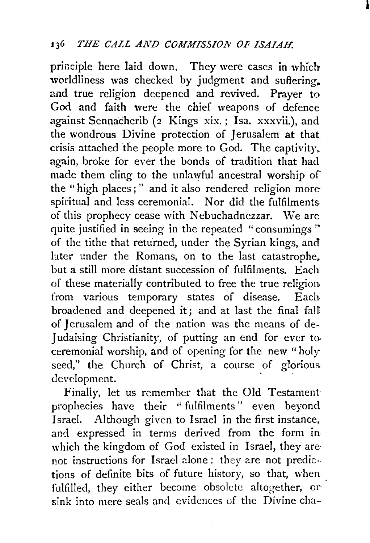principle here laid down. They were cases in which worldliness was checked by judgment and suffering. and true religion deepened and revived. Prayer to God and faith were the chief weapons of defence against Sennacherib (2 Kings xix.; Isa. xxxvii.), and the wondrous Divine protection of Jerusalem at that crisis attached the people more to God. The captivity. again, broke for ever the bonds of tradition that had made them cling to the unlawful ancestral worship of the " high places ; " and it also rendered religion morespiritual and less ceremonial. Nor did the fulfilments. of this prophecy cease with Nebuchadnezzar. We are quite justified in seeing in the repeated "consumings" of the tithe that returned, under the Syrian kings, and later under the Romans, on to the last catastrophe,. but a still more distant succession of fulfilments. Each of these materially contributed to free the true religion. from various temporary states of disease. Each broadened and deepened it; and at last the final fall of Jerusalem and of the nation was the means of de-Judaising Christianity, of putting an end for ever to ceremonial worship, and of opening for the new "holy seed," the Church of Christ, a course of glorious development.

Finally, let us remember that the Old Testament prophecies have their "fulfilments" even beyond Israel. Although given to Israel in the first instance, and expressed in terms derived from the form in. which the kingdom of God existed in Israel, they arenot instructions for Israel alone: they are not predictions of definite bits of future history, so that, \vhen fulfilled, they either become obsolete altogether, or sink into mere seals and evidences of the Divine cha-